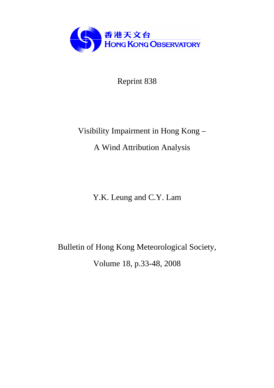

Reprint 838

# Visibility Impairment in Hong Kong – A Wind Attribution Analysis

Y.K. Leung and C.Y. Lam

Bulletin of Hong Kong Meteorological Society,

Volume 18, p.33-48, 2008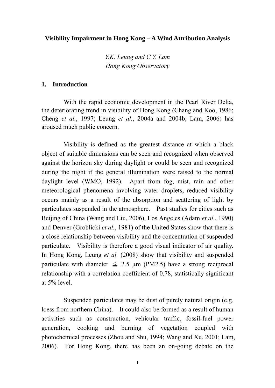**Visibility Impairment in Hong Kong – A Wind Attribution Analysis** 

*Y.K. Leung and C.Y. Lam Hong Kong Observatory* 

# **1. Introduction**

 With the rapid economic development in the Pearl River Delta, the deteriorating trend in visibility of Hong Kong (Chang and Koo, 1986; Cheng *et al.*, 1997; Leung *et al.*, 2004a and 2004b; Lam, 2006) has aroused much public concern.

Visibility is defined as the greatest distance at which a black object of suitable dimensions can be seen and recognized when observed against the horizon sky during daylight or could be seen and recognized during the night if the general illumination were raised to the normal daylight level (WMO, 1992). Apart from fog, mist, rain and other meteorological phenomena involving water droplets, reduced visibility occurs mainly as a result of the absorption and scattering of light by particulates suspended in the atmosphere. Past studies for cities such as Beijing of China (Wang and Liu, 2006), Los Angeles (Adam *et al.*, 1990) and Denver (Groblicki *et al.*, 1981) of the United States show that there is a close relationship between visibility and the concentration of suspended particulate. Visibility is therefore a good visual indicator of air quality. In Hong Kong, Leung *et al.* (2008) show that visibility and suspended particulate with diameter  $\leq$  2.5 µm (PM2.5) have a strong reciprocal relationship with a correlation coefficient of 0.78, statistically significant at 5% level.

Suspended particulates may be dust of purely natural origin (e.g. loess from northern China). It could also be formed as a result of human activities such as construction, vehicular traffic, fossil-fuel power generation, cooking and burning of vegetation coupled with photochemical processes (Zhou and Shu, 1994; Wang and Xu, 2001; Lam, 2006). For Hong Kong, there has been an on-going debate on the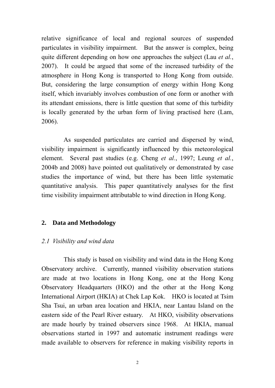relative significance of local and regional sources of suspended particulates in visibility impairment. But the answer is complex, being quite different depending on how one approaches the subject (Lau *et al.*, 2007). It could be argued that some of the increased turbidity of the atmosphere in Hong Kong is transported to Hong Kong from outside. But, considering the large consumption of energy within Hong Kong itself, which invariably involves combustion of one form or another with its attendant emissions, there is little question that some of this turbidity is locally generated by the urban form of living practised here (Lam, 2006).

As suspended particulates are carried and dispersed by wind, visibility impairment is significantly influenced by this meteorological element. Several past studies (e.g. Cheng *et al.*, 1997; Leung *et al.*, 2004b and 2008) have pointed out qualitatively or demonstrated by case studies the importance of wind, but there has been little systematic quantitative analysis. This paper quantitatively analyses for the first time visibility impairment attributable to wind direction in Hong Kong.

# **2. Data and Methodology**

# *2.1 Visibility and wind data*

 This study is based on visibility and wind data in the Hong Kong Observatory archive. Currently, manned visibility observation stations are made at two locations in Hong Kong, one at the Hong Kong Observatory Headquarters (HKO) and the other at the Hong Kong International Airport (HKIA) at Chek Lap Kok. HKO is located at Tsim Sha Tsui, an urban area location and HKIA, near Lantau Island on the eastern side of the Pearl River estuary. At HKO, visibility observations are made hourly by trained observers since 1968. At HKIA, manual observations started in 1997 and automatic instrument readings were made available to observers for reference in making visibility reports in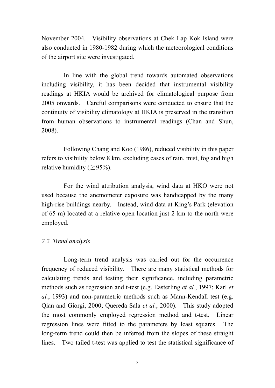November 2004. Visibility observations at Chek Lap Kok Island were also conducted in 1980-1982 during which the meteorological conditions of the airport site were investigated.

 In line with the global trend towards automated observations including visibility, it has been decided that instrumental visibility readings at HKIA would be archived for climatological purpose from 2005 onwards. Careful comparisons were conducted to ensure that the continuity of visibility climatology at HKIA is preserved in the transition from human observations to instrumental readings (Chan and Shun, 2008).

Following Chang and Koo (1986), reduced visibility in this paper refers to visibility below 8 km, excluding cases of rain, mist, fog and high relative humidity ( $\geq 95\%$ ).

For the wind attribution analysis, wind data at HKO were not used because the anemometer exposure was handicapped by the many high-rise buildings nearby. Instead, wind data at King's Park (elevation of 65 m) located at a relative open location just 2 km to the north were employed.

### *2.2 Trend analysis*

 Long-term trend analysis was carried out for the occurrence frequency of reduced visibility. There are many statistical methods for calculating trends and testing their significance, including parametric methods such as regression and t-test (e.g. Easterling *et al.*, 1997; Karl *et al.*, 1993) and non-parametric methods such as Mann-Kendall test (e.g. Qian and Giorgi, 2000; Quereda Sala *et al.*, 2000). This study adopted the most commonly employed regression method and t-test. Linear regression lines were fitted to the parameters by least squares. The long-term trend could then be inferred from the slopes of these straight lines. Two tailed t-test was applied to test the statistical significance of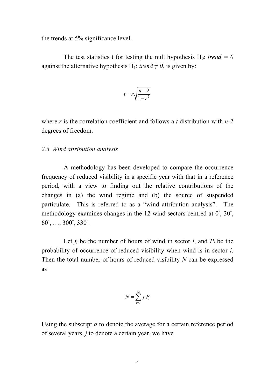the trends at 5% significance level.

The test statistics t for testing the null hypothesis  $H_0$ : *trend = 0* against the alternative hypothesis H<sub>1</sub>: *trend*  $\neq$  0, is given by:

$$
t = r \sqrt{\frac{n-2}{1-r^2}}
$$

where *r* is the correlation coefficient and follows a *t* distribution with *n*-2 degrees of freedom.

#### *2.3 Wind attribution analysis*

 A methodology has been developed to compare the occurrence frequency of reduced visibility in a specific year with that in a reference period, with a view to finding out the relative contributions of the changes in (a) the wind regime and (b) the source of suspended particulate. This is referred to as a "wind attribution analysis". The methodology examines changes in the 12 wind sectors centred at 0°, 30°, 60°, …, 300°, 330°.

Let  $f_i$  be the number of hours of wind in sector  $i$ , and  $P_i$  be the probability of occurrence of reduced visibility when wind is in sector *i*. Then the total number of hours of reduced visibility *N* can be expressed as

$$
N = \sum_{i=1}^{12} f_i P_i
$$

Using the subscript *a* to denote the average for a certain reference period of several years, *j* to denote a certain year, we have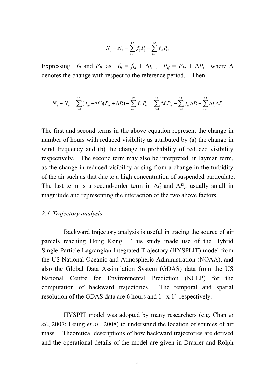$$
N_j - N_a = \sum_{i=1}^{12} f_{ij} P_{ij} - \sum_{i=1}^{12} f_{ia} P_{ia}
$$

Expressing  $f_{ij}$  and  $P_{ij}$  as  $f_{ij} = f_{ia} + \Delta f_i$ ,  $P_{ij} = P_{ia} + \Delta P_i$  where  $\Delta$ denotes the change with respect to the reference period. Then

$$
N_j - N_a = \sum_{i=1}^{12} (f_{ia} + \Delta f_i)(P_{ia} + \Delta P_i) - \sum_{i=1}^{12} f_{ia} P_{ia} = \sum_{i=1}^{12} \Delta f_i P_{ia} + \sum_{i=1}^{12} f_{ia} \Delta P_i + \sum_{i=1}^{12} \Delta f_i \Delta P_i
$$

The first and second terms in the above equation represent the change in number of hours with reduced visibility as attributed by (a) the change in wind frequency and (b) the change in probability of reduced visibility respectively. The second term may also be interpreted, in layman term, as the change in reduced visibility arising from a change in the turbidity of the air such as that due to a high concentration of suspended particulate. The last term is a second-order term in  $\Delta f_i$  and  $\Delta P_i$ , usually small in magnitude and representing the interaction of the two above factors.

#### *2.4 Trajectory analysis*

 Backward trajectory analysis is useful in tracing the source of air parcels reaching Hong Kong. This study made use of the Hybrid Single-Particle Lagrangian Integrated Trajectory (HYSPLIT) model from the US National Oceanic and Atmospheric Administration (NOAA), and also the Global Data Assimilation System (GDAS) data from the US National Centre for Environmental Prediction (NCEP) for the computation of backward trajectories. The temporal and spatial resolution of the GDAS data are 6 hours and 1° x 1° respectively.

HYSPIT model was adopted by many researchers (e.g. Chan *et al*., 2007; Leung *et al.*, 2008) to understand the location of sources of air mass. Theoretical descriptions of how backward trajectories are derived and the operational details of the model are given in Draxier and Rolph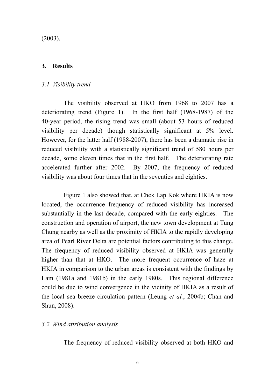(2003).

# **3. Results**

### *3.1 Visibility trend*

 The visibility observed at HKO from 1968 to 2007 has a deteriorating trend (Figure 1). In the first half (1968-1987) of the 40-year period, the rising trend was small (about 53 hours of reduced visibility per decade) though statistically significant at 5% level. However, for the latter half (1988-2007), there has been a dramatic rise in reduced visibility with a statistically significant trend of 580 hours per decade, some eleven times that in the first half. The deteriorating rate accelerated further after 2002. By 2007, the frequency of reduced visibility was about four times that in the seventies and eighties.

 Figure 1 also showed that, at Chek Lap Kok where HKIA is now located, the occurrence frequency of reduced visibility has increased substantially in the last decade, compared with the early eighties. The construction and operation of airport, the new town development at Tung Chung nearby as well as the proximity of HKIA to the rapidly developing area of Pearl River Delta are potential factors contributing to this change. The frequency of reduced visibility observed at HKIA was generally higher than that at HKO. The more frequent occurrence of haze at HKIA in comparison to the urban areas is consistent with the findings by Lam (1981a and 1981b) in the early 1980s. This regional difference could be due to wind convergence in the vicinity of HKIA as a result of the local sea breeze circulation pattern (Leung *et al.*, 2004b; Chan and Shun, 2008).

# *3.2 Wind attribution analysis*

The frequency of reduced visibility observed at both HKO and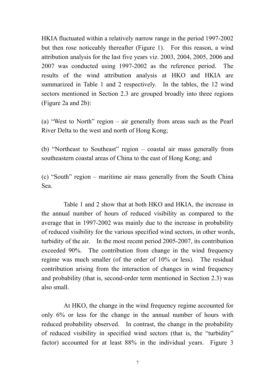HKIA fluctuated within a relatively narrow range in the period 1997-2002 but then rose noticeably thereafter (Figure 1). For this reason, a wind attribution analysis for the last five years viz. 2003, 2004, 2005, 2006 and 2007 was conducted using 1997-2002 as the reference period. The results of the wind attribution analysis at HKO and HKIA are summarized in Table 1 and 2 respectively. In the tables, the 12 wind sectors mentioned in Section 2.3 are grouped broadly into three regions (Figure 2a and 2b):

(a) "West to North" region – air generally from areas such as the Pearl River Delta to the west and north of Hong Kong;

(b) "Northeast to Southeast" region – coastal air mass generally from southeastern coastal areas of China to the east of Hong Kong; and

(c) "South" region – maritime air mass generally from the South China Sea.

Table 1 and 2 show that at both HKO and HKIA, the increase in the annual number of hours of reduced visibility as compared to the average that in 1997-2002 was mainly due to the increase in probability of reduced visibility for the various specified wind sectors, in other words, turbidity of the air. In the most recent period 2005-2007, its contribution exceeded 90%. The contribution from change in the wind frequency regime was much smaller (of the order of 10% or less). The residual contribution arising from the interaction of changes in wind frequency and probability (that is, second-order term mentioned in Section 2.3) was also small.

At HKO, the change in the wind frequency regime accounted for only 6% or less for the change in the annual number of hours with reduced probability observed. In contrast, the change in the probability of reduced visibility in specified wind sectors (that is, the "turbidity" factor) accounted for at least 88% in the individual years. Figure 3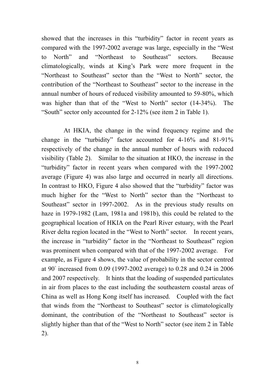showed that the increases in this "turbidity" factor in recent years as compared with the 1997-2002 average was large, especially in the "West to North" and "Northeast to Southeast" sectors. Because climatologically, winds at King's Park were more frequent in the "Northeast to Southeast" sector than the "West to North" sector, the contribution of the "Northeast to Southeast" sector to the increase in the annual number of hours of reduced visibility amounted to 59-80%, which was higher than that of the "West to North" sector (14-34%). The "South" sector only accounted for 2-12% (see item 2 in Table 1).

At HKIA, the change in the wind frequency regime and the change in the "turbidity" factor accounted for 4-16% and 81-91% respectively of the change in the annual number of hours with reduced visibility (Table 2). Similar to the situation at HKO, the increase in the "turbidity" factor in recent years when compared with the 1997-2002 average (Figure 4) was also large and occurred in nearly all directions. In contrast to HKO, Figure 4 also showed that the "turbidity" factor was much higher for the "West to North" sector than the "Northeast to Southeast" sector in 1997-2002. As in the previous study results on haze in 1979-1982 (Lam, 1981a and 1981b), this could be related to the geographical location of HKIA on the Pearl River estuary, with the Pearl River delta region located in the "West to North" sector. In recent years, the increase in "turbidity" factor in the "Northeast to Southeast" region was prominent when compared with that of the 1997-2002 average. For example, as Figure 4 shows, the value of probability in the sector centred at 90° increased from 0.09 (1997-2002 average) to 0.28 and 0.24 in 2006 and 2007 respectively. It hints that the loading of suspended particulates in air from places to the east including the southeastern coastal areas of China as well as Hong Kong itself has increased. Coupled with the fact that winds from the "Northeast to Southeast" sector is climatologically dominant, the contribution of the "Northeast to Southeast" sector is slightly higher than that of the "West to North" sector (see item 2 in Table 2).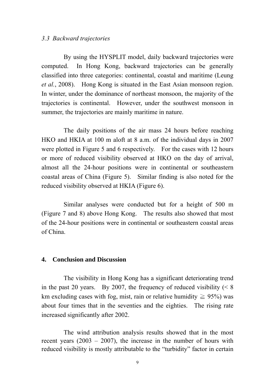#### *3.3 Backward trajectories*

By using the HYSPLIT model, daily backward trajectories were computed. In Hong Kong, backward trajectories can be generally classified into three categories: continental, coastal and maritime (Leung *et al.*, 2008). Hong Kong is situated in the East Asian monsoon region. In winter, under the dominance of northeast monsoon, the majority of the trajectories is continental. However, under the southwest monsoon in summer, the trajectories are mainly maritime in nature.

The daily positions of the air mass 24 hours before reaching HKO and HKIA at 100 m aloft at 8 a.m. of the individual days in 2007 were plotted in Figure 5 and 6 respectively. For the cases with 12 hours or more of reduced visibility observed at HKO on the day of arrival, almost all the 24-hour positions were in continental or southeastern coastal areas of China (Figure 5). Similar finding is also noted for the reduced visibility observed at HKIA (Figure 6).

Similar analyses were conducted but for a height of 500 m (Figure 7 and 8) above Hong Kong. The results also showed that most of the 24-hour positions were in continental or southeastern coastal areas of China.

#### **4. Conclusion and Discussion**

 The visibility in Hong Kong has a significant deteriorating trend in the past 20 years. By 2007, the frequency of reduced visibility  $\leq 8$ km excluding cases with fog, mist, rain or relative humidity  $\geq 95\%$ ) was about four times that in the seventies and the eighties. The rising rate increased significantly after 2002.

The wind attribution analysis results showed that in the most recent years (2003 – 2007), the increase in the number of hours with reduced visibility is mostly attributable to the "turbidity" factor in certain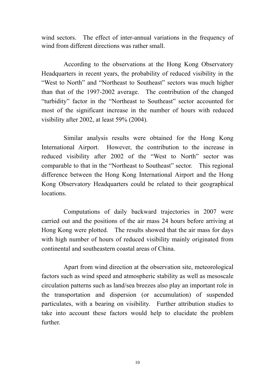wind sectors. The effect of inter-annual variations in the frequency of wind from different directions was rather small.

According to the observations at the Hong Kong Observatory Headquarters in recent years, the probability of reduced visibility in the "West to North" and "Northeast to Southeast" sectors was much higher than that of the 1997-2002 average. The contribution of the changed "turbidity" factor in the "Northeast to Southeast" sector accounted for most of the significant increase in the number of hours with reduced visibility after 2002, at least 59% (2004).

Similar analysis results were obtained for the Hong Kong International Airport. However, the contribution to the increase in reduced visibility after 2002 of the "West to North" sector was comparable to that in the "Northeast to Southeast" sector. This regional difference between the Hong Kong International Airport and the Hong Kong Observatory Headquarters could be related to their geographical locations.

Computations of daily backward trajectories in 2007 were carried out and the positions of the air mass 24 hours before arriving at Hong Kong were plotted. The results showed that the air mass for days with high number of hours of reduced visibility mainly originated from continental and southeastern coastal areas of China.

Apart from wind direction at the observation site, meteorological factors such as wind speed and atmospheric stability as well as mesoscale circulation patterns such as land/sea breezes also play an important role in the transportation and dispersion (or accumulation) of suspended particulates, with a bearing on visibility. Further attribution studies to take into account these factors would help to elucidate the problem further.

10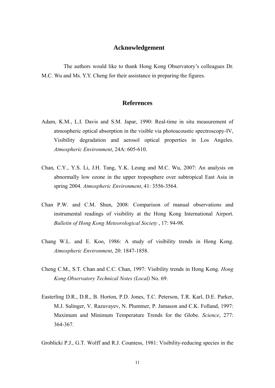#### **Acknowledgement**

The authors would like to thank Hong Kong Observatory's colleagues Dr. M.C. Wu and Ms. Y.Y. Cheng for their assistance in preparing the figures.

#### **References**

- Adam, K.M., L.I. Davis and S.M. Japar, 1990: Real-time in situ measurement of atmospheric optical absorption in the visible via photoacoustic spectroscopy-IV, Visibility degradation and aerosol optical properties in Los Angeles. *Atmospheric Environment*, 24A: 605-610.
- Chan, C.Y., Y.S. Li, J.H. Tang, Y.K. Leung and M.C. Wu, 2007: An analysis on abnormally low ozone in the upper troposphere over subtropical East Asia in spring 2004. *Atmospheric Environment*, 41: 3556-3564.
- Chan P.W. and C.M. Shun, 2008: Comparison of manual observations and instrumental readings of visibility at the Hong Kong International Airport. *Bulletin of Hong Kong Meteorological Society* , 17: 94-98.
- Chang W.L. and E. Koo, 1986: A study of visibility trends in Hong Kong. *Atmospheric Environment*, 20: 1847-1858.
- Cheng C.M., S.T. Chan and C.C. Chan, 1997: Visibility trends in Hong Kong. *Hong Kong Observatory Technical Notes (Local)* No. 69.
- Easterling D.R., D.R., B. Horton, P.D. Jones, T.C. Peterson, T.R. Karl, D.E. Parker, M.J. Salinger, V. Razuvayev, N. Plummer, P. Jamason and C.K. Folland, 1997: Maximum and Minimum Temperature Trends for the Globe. *Science*, 277: 364-367.

Groblicki P.J., G.T. Wolff and R.J. Countess, 1981: Visibility-reducing species in the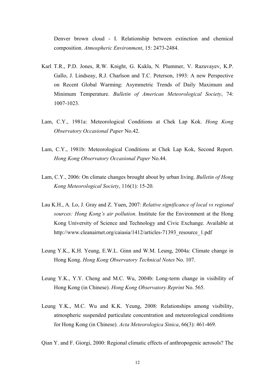Denver brown cloud - I. Relationship between extinction and chemical composition. *Atmospheric Environment*, 15: 2473-2484.

- Karl T.R., P.D. Jones, R.W. Knight, G. Kukla, N. Plummer, V. Razuvayev, K.P. Gallo, J. Lindseay, R.J. Charlson and T.C. Peterson, 1993: A new Perspective on Recent Global Warming: Asymmetric Trends of Daily Maximum and Minimum Temperature. *Bulletin of American Meteorological Society*, 74: 1007-1023.
- Lam, C.Y., 1981a: Meteorological Conditions at Chek Lap Kok. *Hong Kong Observatory Occasional Paper* No.42.
- Lam, C.Y., 1981b: Meteorological Conditions at Chek Lap Kok, Second Report. *Hong Kong Observatory Occasional Paper* No.44.
- Lam, C.Y., 2006: On climate changes brought about by urban living. *Bulletin of Hong Kong Meteorological Society*, 116(1): 15-20.
- Lau K.H., A. Lo, J. Gray and Z. Yuen, 2007: *Relative significance of local vs regional sources: Hong Kong's air pollution*. Institute for the Environment at the Hong Kong University of Science and Technology and Civic Exchange. Available at http://www.cleanairnet.org/caiasia/1412/articles-71393 resource 1.pdf
- Leung Y.K., K.H. Yeung, E.W.L. Ginn and W.M. Leung, 2004a: Climate change in Hong Kong. *Hong Kong Observatory Technical Notes* No. 107.
- Leung Y.K., Y.Y. Cheng and M.C. Wu, 2004b: Long-term change in visibility of Hong Kong (in Chinese). *Hong Kong Observatory Reprint* No. 565.
- Leung Y.K., M.C. Wu and K.K. Yeung, 2008: Relationships among visibility, atmospheric suspended particulate concentration and meteorological conditions for Hong Kong (in Chinese). *Acta Meteorologica Sinica*, 66(3): 461-469.
- Qian Y. and F. Giorgi, 2000: Regional climatic effects of anthropogenic aerosols? The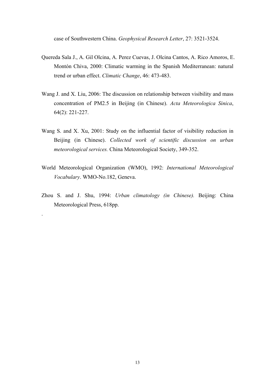case of Southwestern China. *Geophysical Research Letter*, 27: 3521-3524.

- Quereda Sala J., A. Gil Olcina, A. Perez Cuevas, J. Olcina Cantos, A. Rico Amoros, E. Montón Chiva, 2000: Climatic warming in the Spanish Mediterranean: natural trend or urban effect. *Climatic Change*, 46: 473-483.
- Wang J. and X. Liu, 2006: The discussion on relationship between visibility and mass concentration of PM2.5 in Beijing (in Chinese). *Acta Meteorologica Sinica*, 64(2): 221-227.
- Wang S. and X. Xu, 2001: Study on the influential factor of visibility reduction in Beijing (in Chinese). *Collected work of scientific discussion on urban meteorological services.* China Meteorological Society, 349-352.
- World Meteorological Organization (WMO), 1992: *International Meteorological Vocabulary*. WMO-No.182, Geneva.
- Zhou S. and J. Shu, 1994: *Urban climatology (in Chinese).* Beijing: China Meteorological Press, 618pp.

.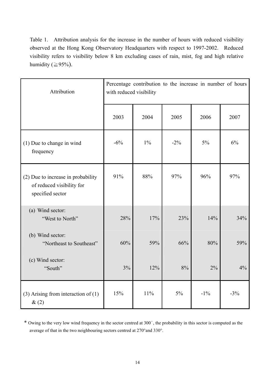Table 1. Attribution analysis for the increase in the number of hours with reduced visibility observed at the Hong Kong Observatory Headquarters with respect to 1997-2002. Reduced visibility refers to visibility below 8 km excluding cases of rain, mist, fog and high relative humidity ( $\geq 95\%$ ).

| Attribution                                                                         | Percentage contribution to the increase in number of hours<br>with reduced visibility |       |        |        |       |  |
|-------------------------------------------------------------------------------------|---------------------------------------------------------------------------------------|-------|--------|--------|-------|--|
|                                                                                     | 2003                                                                                  | 2004  | 2005   | 2006   | 2007  |  |
| (1) Due to change in wind<br>frequency                                              | $-6\%$                                                                                | $1\%$ | $-2\%$ | $5\%$  | 6%    |  |
| (2) Due to increase in probability<br>of reduced visibility for<br>specified sector | 91%                                                                                   | 88%   | 97%    | 96%    | 97%   |  |
| (a) Wind sector:<br>"West to North"                                                 | 28%                                                                                   | 17%   | 23%    | 14%    | 34%   |  |
| (b) Wind sector:<br>"Northeast to Southeast"                                        | 60%                                                                                   | 59%   | 66%    | 80%    | 59%   |  |
| (c) Wind sector:<br>"South"                                                         | 3%                                                                                    | 12%   | 8%     | $2\%$  | 4%    |  |
| $(3)$ Arising from interaction of $(1)$<br>$\&(2)$                                  | 15%                                                                                   | 11%   | $5\%$  | $-1\%$ | $-3%$ |  |

\* Owing to the very low wind frequency in the sector centred at 300°, the probability in this sector is computed as the average of that in the two neighbouring sectors centred at 270°and 330°.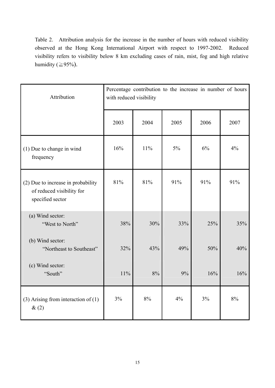Table 2. Attribution analysis for the increase in the number of hours with reduced visibility observed at the Hong Kong International Airport with respect to 1997-2002. Reduced visibility refers to visibility below 8 km excluding cases of rain, mist, fog and high relative humidity ( $\geq 95\%$ ).

| Attribution                                                                         | Percentage contribution to the increase in number of hours<br>with reduced visibility |      |      |      |      |  |
|-------------------------------------------------------------------------------------|---------------------------------------------------------------------------------------|------|------|------|------|--|
|                                                                                     | 2003                                                                                  | 2004 | 2005 | 2006 | 2007 |  |
| (1) Due to change in wind<br>frequency                                              | 16%                                                                                   | 11%  | 5%   | 6%   | 4%   |  |
| (2) Due to increase in probability<br>of reduced visibility for<br>specified sector | 81%                                                                                   | 81%  | 91%  | 91%  | 91%  |  |
| (a) Wind sector:<br>"West to North"                                                 | 38%                                                                                   | 30%  | 33%  | 25%  | 35%  |  |
| (b) Wind sector:<br>"Northeast to Southeast"                                        | 32%                                                                                   | 43%  | 49%  | 50%  | 40%  |  |
| (c) Wind sector:<br>"South"                                                         | 11%                                                                                   | 8%   | 9%   | 16%  | 16%  |  |
| $(3)$ Arising from interaction of $(1)$<br>$\&(2)$                                  | 3%                                                                                    | 8%   | 4%   | 3%   | 8%   |  |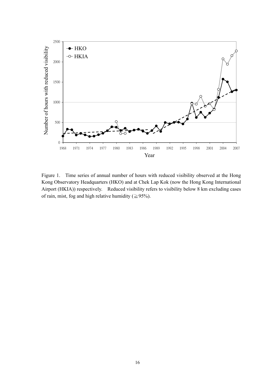

Figure 1. Time series of annual number of hours with reduced visibility observed at the Hong Kong Observatory Headquarters (HKO) and at Chek Lap Kok (now the Hong Kong International Airport (HKIA)) respectively. Reduced visibility refers to visibility below 8 km excluding cases of rain, mist, fog and high relative humidity ( $\geq$ 95%).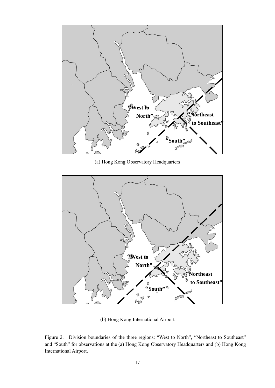

(a) Hong Kong Observatory Headquarters



(b) Hong Kong International Airport

Figure 2. Division boundaries of the three regions: "West to North", "Northeast to Southeast" and "South" for observations at the (a) Hong Kong Observatory Headquarters and (b) Hong Kong International Airport.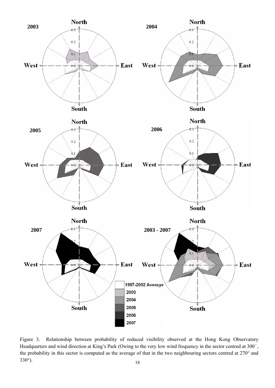

18 Figure 3. Relationship between probability of reduced visibility observed at the Hong Kong Observatory Headquarters and wind direction at King's Park (Owing to the very low wind frequency in the sector centred at 300°, the probability in this sector is computed as the average of that in the two neighbouring sectors centred at 270° and 330°).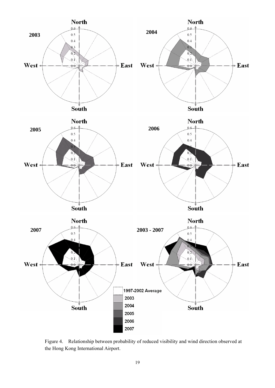

Figure 4. Relationship between probability of reduced visibility and wind direction observed at the Hong Kong International Airport.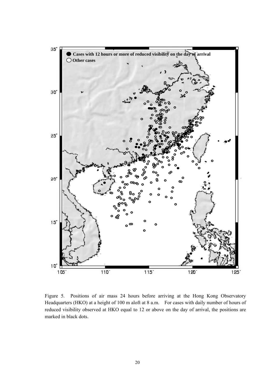

Figure 5. Positions of air mass 24 hours before arriving at the Hong Kong Observatory Headquarters (HKO) at a height of 100 m aloft at 8 a.m. For cases with daily number of hours of reduced visibility observed at HKO equal to 12 or above on the day of arrival, the positions are marked in black dots.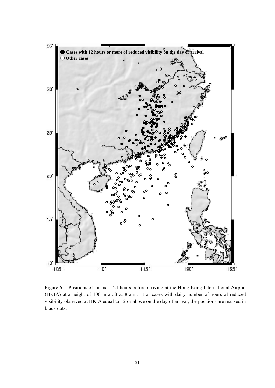

Figure 6. Positions of air mass 24 hours before arriving at the Hong Kong International Airport (HKIA) at a height of 100 m aloft at 8 a.m. For cases with daily number of hours of reduced visibility observed at HKIA equal to 12 or above on the day of arrival, the positions are marked in black dots.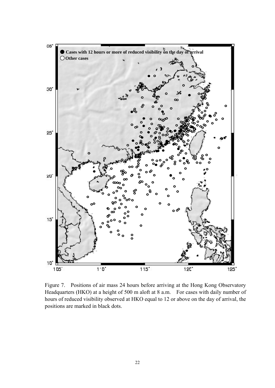

Figure 7. Positions of air mass 24 hours before arriving at the Hong Kong Observatory Headquarters (HKO) at a height of 500 m aloft at 8 a.m. For cases with daily number of hours of reduced visibility observed at HKO equal to 12 or above on the day of arrival, the positions are marked in black dots.